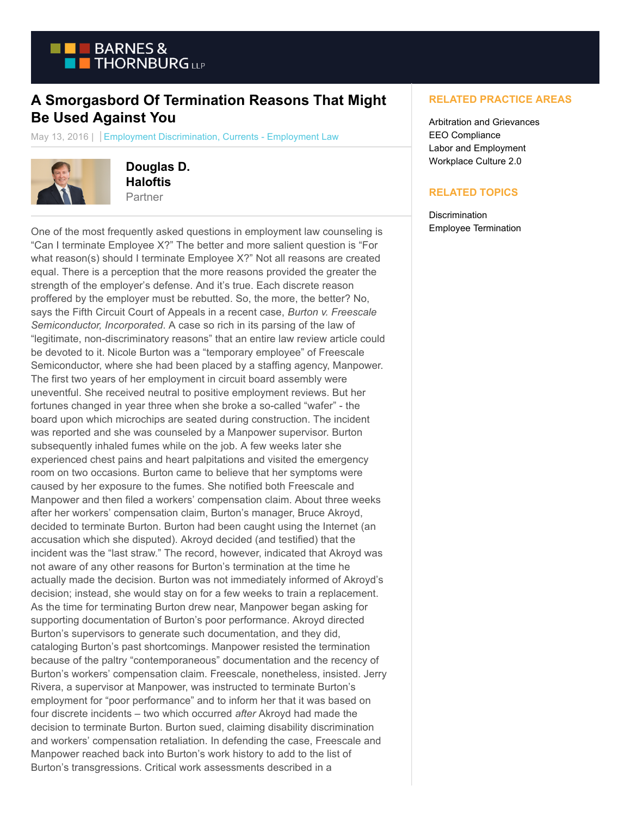

## **A Smorgasbord Of Termination Reasons That Might Be Used Against You**

May 13, 2016 | Employment Discrimination, Currents - Employment Law



**Douglas D. Haloftis** Partner

One of the most frequently asked questions in employment law counseling is "Can I terminate Employee X?" The better and more salient question is "For what reason(s) should I terminate Employee X?" Not all reasons are created equal. There is a perception that the more reasons provided the greater the strength of the employer's defense. And it's true. Each discrete reason proffered by the employer must be rebutted. So, the more, the better? No, says the Fifth Circuit Court of Appeals in a recent case, *Burton v. Freescale Semiconductor, Incorporated*. A case so rich in its parsing of the law of "legitimate, non-discriminatory reasons" that an entire law review article could be devoted to it. Nicole Burton was a "temporary employee" of Freescale Semiconductor, where she had been placed by a staffing agency, Manpower. The first two years of her employment in circuit board assembly were uneventful. She received neutral to positive employment reviews. But her fortunes changed in year three when she broke a so-called "wafer" - the board upon which microchips are seated during construction. The incident was reported and she was counseled by a Manpower supervisor. Burton subsequently inhaled fumes while on the job. A few weeks later she experienced chest pains and heart palpitations and visited the emergency room on two occasions. Burton came to believe that her symptoms were caused by her exposure to the fumes. She notified both Freescale and Manpower and then filed a workers' compensation claim. About three weeks after her workers' compensation claim, Burton's manager, Bruce Akroyd, decided to terminate Burton. Burton had been caught using the Internet (an accusation which she disputed). Akroyd decided (and testified) that the incident was the "last straw." The record, however, indicated that Akroyd was not aware of any other reasons for Burton's termination at the time he actually made the decision. Burton was not immediately informed of Akroyd's decision; instead, she would stay on for a few weeks to train a replacement. As the time for terminating Burton drew near, Manpower began asking for supporting documentation of Burton's poor performance. Akroyd directed Burton's supervisors to generate such documentation, and they did, cataloging Burton's past shortcomings. Manpower resisted the termination because of the paltry "contemporaneous" documentation and the recency of Burton's workers' compensation claim. Freescale, nonetheless, insisted. Jerry Rivera, a supervisor at Manpower, was instructed to terminate Burton's employment for "poor performance" and to inform her that it was based on four discrete incidents – two which occurred *after* Akroyd had made the decision to terminate Burton. Burton sued, claiming disability discrimination and workers' compensation retaliation. In defending the case, Freescale and Manpower reached back into Burton's work history to add to the list of Burton's transgressions. Critical work assessments described in a

## **RELATED PRACTICE AREAS**

Arbitration and Grievances EEO Compliance Labor and Employment Workplace Culture 2.0

## **RELATED TOPICS**

**Discrimination** Employee Termination